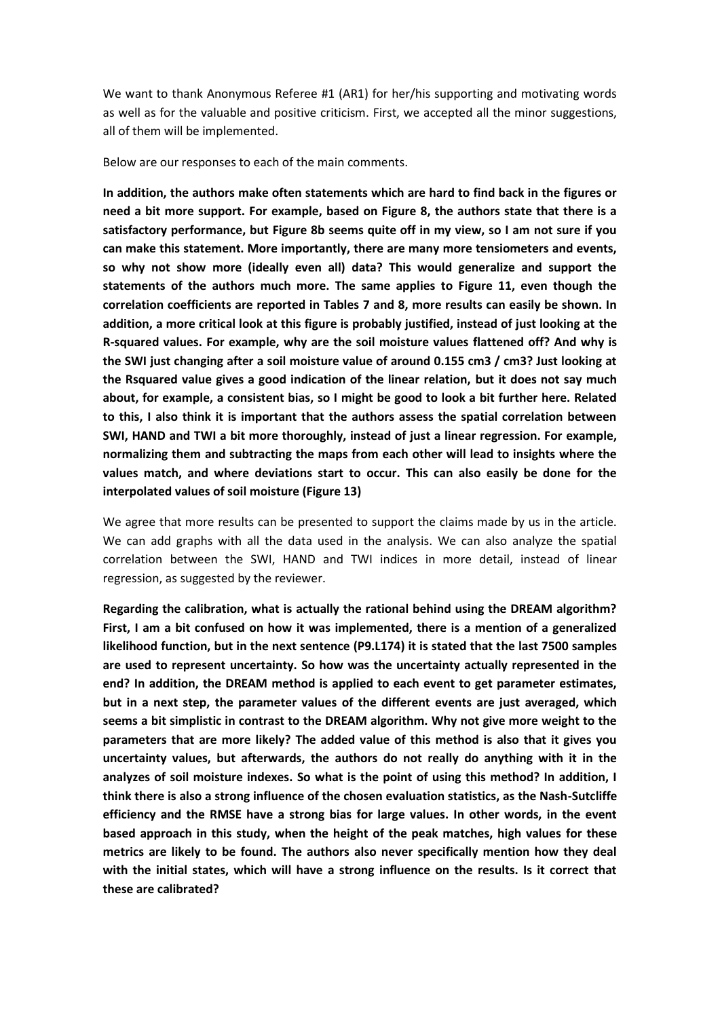We want to thank Anonymous Referee #1 (AR1) for her/his supporting and motivating words as well as for the valuable and positive criticism. First, we accepted all the minor suggestions, all of them will be implemented.

Below are our responses to each of the main comments.

**In addition, the authors make often statements which are hard to find back in the figures or need a bit more support. For example, based on Figure 8, the authors state that there is a satisfactory performance, but Figure 8b seems quite off in my view, so I am not sure if you can make this statement. More importantly, there are many more tensiometers and events, so why not show more (ideally even all) data? This would generalize and support the statements of the authors much more. The same applies to Figure 11, even though the correlation coefficients are reported in Tables 7 and 8, more results can easily be shown. In addition, a more critical look at this figure is probably justified, instead of just looking at the R-squared values. For example, why are the soil moisture values flattened off? And why is the SWI just changing after a soil moisture value of around 0.155 cm3 / cm3? Just looking at the Rsquared value gives a good indication of the linear relation, but it does not say much about, for example, a consistent bias, so I might be good to look a bit further here. Related to this, I also think it is important that the authors assess the spatial correlation between SWI, HAND and TWI a bit more thoroughly, instead of just a linear regression. For example, normalizing them and subtracting the maps from each other will lead to insights where the values match, and where deviations start to occur. This can also easily be done for the interpolated values of soil moisture (Figure 13)**

We agree that more results can be presented to support the claims made by us in the article. We can add graphs with all the data used in the analysis. We can also analyze the spatial correlation between the SWI, HAND and TWI indices in more detail, instead of linear regression, as suggested by the reviewer.

**Regarding the calibration, what is actually the rational behind using the DREAM algorithm? First, I am a bit confused on how it was implemented, there is a mention of a generalized likelihood function, but in the next sentence (P9.L174) it is stated that the last 7500 samples are used to represent uncertainty. So how was the uncertainty actually represented in the end? In addition, the DREAM method is applied to each event to get parameter estimates, but in a next step, the parameter values of the different events are just averaged, which seems a bit simplistic in contrast to the DREAM algorithm. Why not give more weight to the parameters that are more likely? The added value of this method is also that it gives you uncertainty values, but afterwards, the authors do not really do anything with it in the analyzes of soil moisture indexes. So what is the point of using this method? In addition, I think there is also a strong influence of the chosen evaluation statistics, as the Nash-Sutcliffe efficiency and the RMSE have a strong bias for large values. In other words, in the event based approach in this study, when the height of the peak matches, high values for these metrics are likely to be found. The authors also never specifically mention how they deal with the initial states, which will have a strong influence on the results. Is it correct that these are calibrated?**